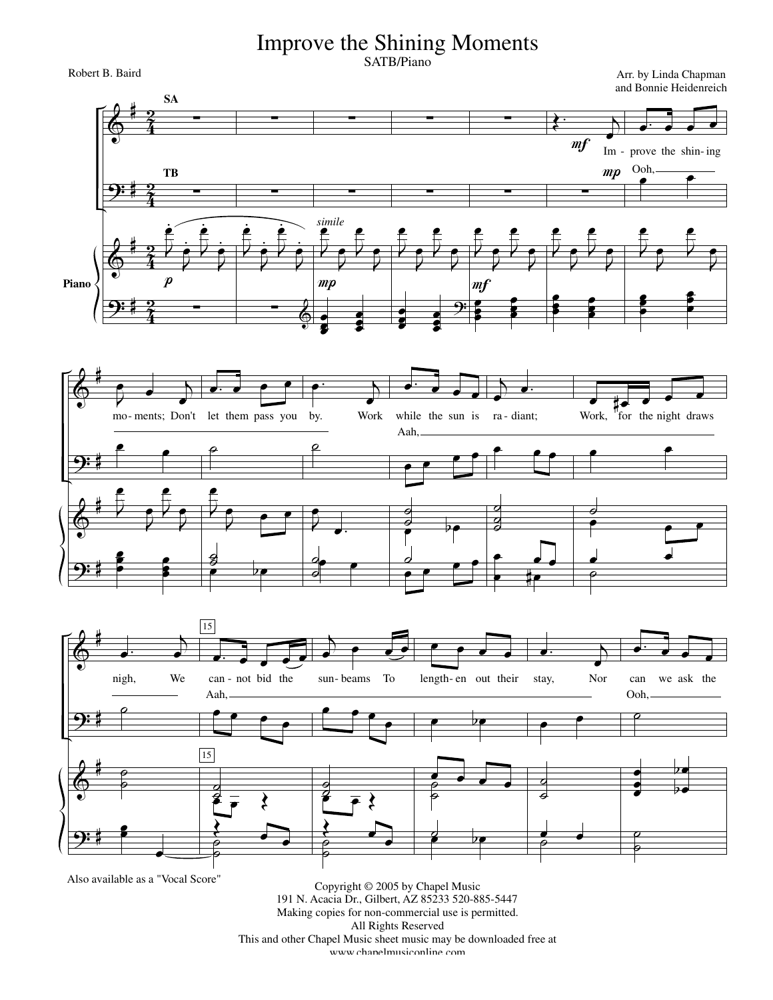## Improve the Shining Moments SATB/Piano

Robert B. Baird

Arr. by Linda Chapman and Bonnie Heidenreich







Also available as a "Vocal Score"

Copyright © 2005 by Chapel Music 191 N. Acacia Dr., Gilbert, AZ 85233 520-885-5447 Making copies for non-commercial use is permitted. All Rights Reserved This and other Chapel Music sheet music may be downloaded free at www.chanelmusiconline.com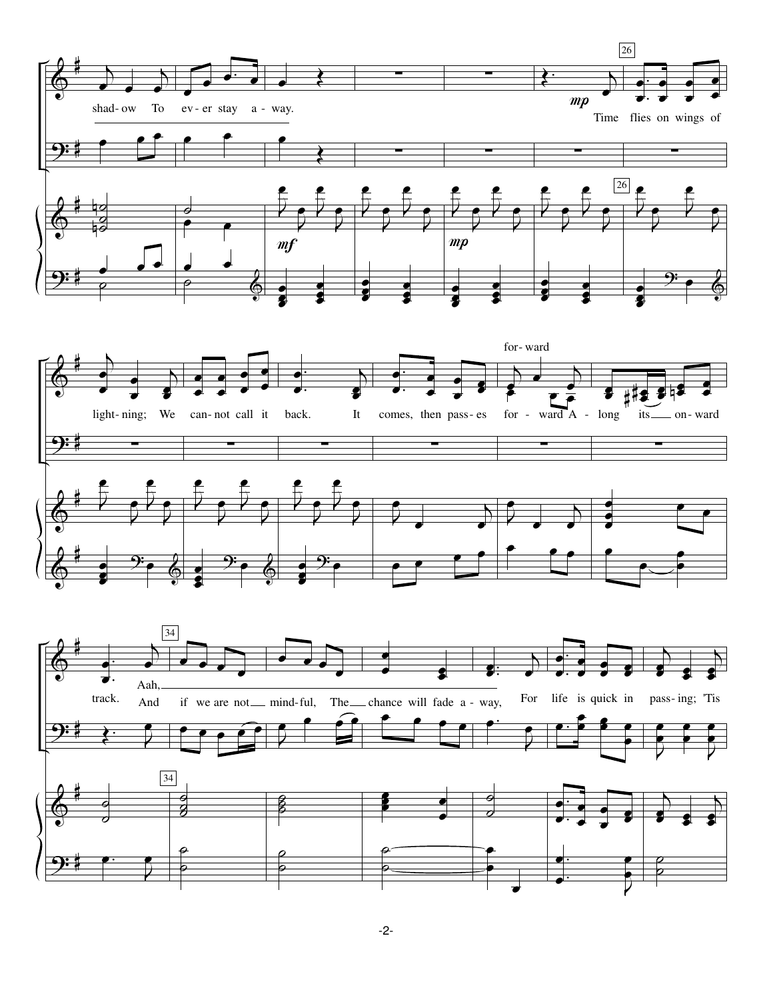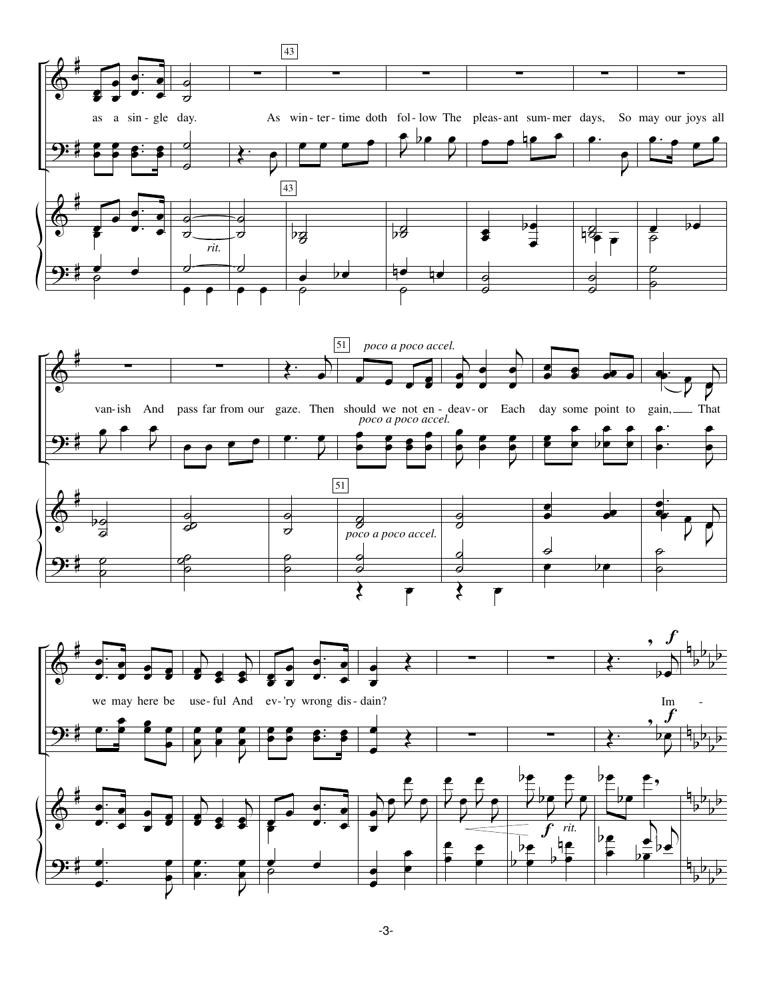